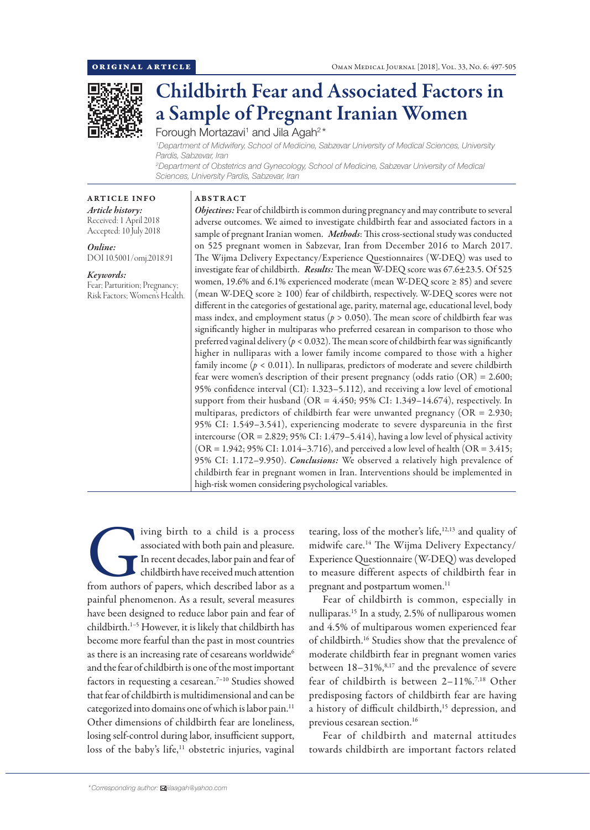

# Childbirth Fear and Associated Factors in a Sample of Pregnant Iranian Women

Forough Mortazavi<sup>1</sup> and Jila Agah<sup>2\*</sup>

ABSTRACT

*1 Department of Midwifery, School of Medicine, Sabzevar University of Medical Sciences, University Pardis, Sabzevar, Iran 2 Department of Obstetrics and Gynecology, School of Medicine, Sabzevar University of Medical*

*Sciences, University Pardis, Sabzevar, Iran*

ARTICLE INFO *Article history:* Received: 1 April 2018 Accepted: 10 July 2018

*Online:* DOI 10.5001/omj.2018.91

## *Keywords:*

Fear; Parturition; Pregnancy; Risk Factors; Women's Health. *Objectives:* Fear of childbirth is common during pregnancy and may contribute to several adverse outcomes. We aimed to investigate childbirth fear and associated factors in a sample of pregnant Iranian women. *Methods*: This cross-sectional study was conducted on 525 pregnant women in Sabzevar, Iran from December 2016 to March 2017. The Wijma Delivery Expectancy/Experience Questionnaires (W-DEQ) was used to investigate fear of childbirth. *Results:* The mean W-DEQ score was 67.6±23.5. Of 525 women, 19.6% and 6.1% experienced moderate (mean W-DEQ score  $\geq 85$ ) and severe (mean W-DEQ score ≥ 100) fear of childbirth, respectively. W-DEQ scores were not different in the categories of gestational age, parity, maternal age, educational level, body mass index, and employment status ( $p > 0.050$ ). The mean score of childbirth fear was significantly higher in multiparas who preferred cesarean in comparison to those who preferred vaginal delivery (*p* < 0.032). The mean score of childbirth fear was significantly higher in nulliparas with a lower family income compared to those with a higher family income  $(p < 0.011)$ . In nulliparas, predictors of moderate and severe childbirth fear were women's description of their present pregnancy (odds ratio (OR) = 2.600; 95% confidence interval (CI): 1.323–5.112), and receiving a low level of emotional support from their husband ( $OR = 4.450$ ;  $95\%$  CI:  $1.349 - 14.674$ ), respectively. In multiparas, predictors of childbirth fear were unwanted pregnancy (OR = 2.930; 95% CI: 1.549–3.541), experiencing moderate to severe dyspareunia in the first intercourse (OR = 2.829; 95% CI: 1.479–5.414), having a low level of physical activity (OR = 1.942; 95% CI: 1.014–3.716), and perceived a low level of health (OR = 3.415; 95% CI: 1.172–9.950). *Conclusions:* We observed a relatively high prevalence of childbirth fear in pregnant women in Iran. Interventions should be implemented in high-risk women considering psychological variables.

iving birth to a child is a process<br>associated with both pain and pleasure.<br>In recent decades, labor pain and fear of<br>childbirth have received much attention<br>from authors of papers, which described labor as a associated with both pain and pleasure. In recent decades, labor pain and fear of childbirth have received much attention painful phenomenon. As a result, several measures have been designed to reduce labor pain and fear of childbirth.1–5 However, it is likely that childbirth has become more fearful than the past in most countries as there is an increasing rate of cesareans worldwide<sup>6</sup> and the fear of childbirth is one of the most important factors in requesting a cesarean.<sup>7-10</sup> Studies showed that fear of childbirth is multidimensional and can be categorized into domains one of which is labor pain.11 Other dimensions of childbirth fear are loneliness, losing self-control during labor, insufficient support, loss of the baby's life,<sup>11</sup> obstetric injuries, vaginal

tearing, loss of the mother's life,12,13 and quality of midwife care.14 The Wijma Delivery Expectancy/ Experience Questionnaire (W-DEQ) was developed to measure different aspects of childbirth fear in pregnant and postpartum women.<sup>11</sup>

Fear of childbirth is common, especially in nulliparas.15 In a study, 2.5% of nulliparous women and 4.5% of multiparous women experienced fear of childbirth.16 Studies show that the prevalence of moderate childbirth fear in pregnant women varies between 18-31%,<sup>8,17</sup> and the prevalence of severe fear of childbirth is between 2–11%.7,18 Other predisposing factors of childbirth fear are having a history of difficult childbirth,<sup>15</sup> depression, and previous cesarean section.16

Fear of childbirth and maternal attitudes towards childbirth are important factors related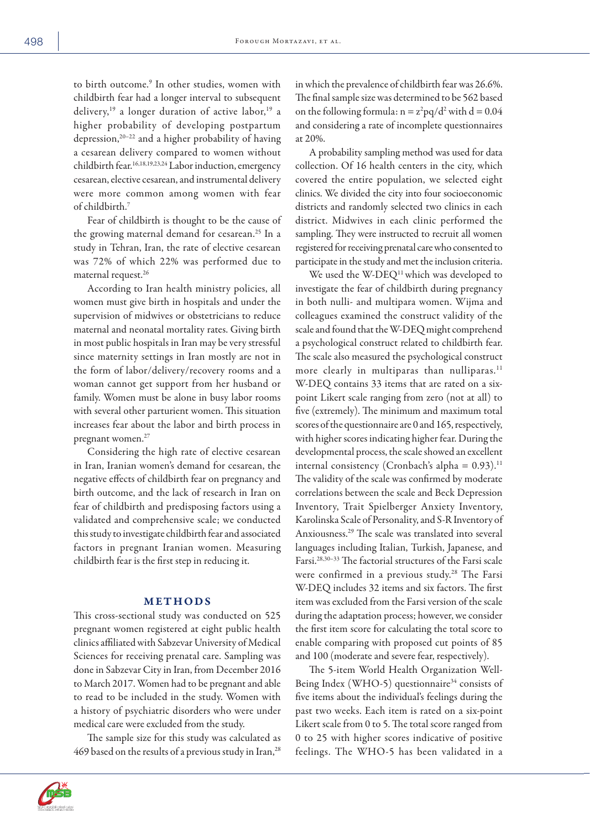to birth outcome.9 In other studies, women with childbirth fear had a longer interval to subsequent delivery,<sup>19</sup> a longer duration of active labor,<sup>19</sup> a higher probability of developing postpartum depression,20–22 and a higher probability of having a cesarean delivery compared to women without childbirth fear.16,18,19,23,24 Labor induction, emergency cesarean, elective cesarean, and instrumental delivery were more common among women with fear of childbirth.7

Fear of childbirth is thought to be the cause of the growing maternal demand for cesarean.<sup>25</sup> In a study in Tehran, Iran, the rate of elective cesarean was 72% of which 22% was performed due to maternal request.26

According to Iran health ministry policies, all women must give birth in hospitals and under the supervision of midwives or obstetricians to reduce maternal and neonatal mortality rates. Giving birth in most public hospitals in Iran may be very stressful since maternity settings in Iran mostly are not in the form of labor/delivery/recovery rooms and a woman cannot get support from her husband or family. Women must be alone in busy labor rooms with several other parturient women. This situation increases fear about the labor and birth process in pregnant women.27

Considering the high rate of elective cesarean in Iran, Iranian women's demand for cesarean, the negative effects of childbirth fear on pregnancy and birth outcome, and the lack of research in Iran on fear of childbirth and predisposing factors using a validated and comprehensive scale; we conducted this study to investigate childbirth fear and associated factors in pregnant Iranian women. Measuring childbirth fear is the first step in reducing it.

### METHODS

This cross-sectional study was conducted on 525 pregnant women registered at eight public health clinics affiliated with Sabzevar University of Medical Sciences for receiving prenatal care. Sampling was done in Sabzevar City in Iran, from December 2016 to March 2017. Women had to be pregnant and able to read to be included in the study. Women with a history of psychiatric disorders who were under medical care were excluded from the study.

The sample size for this study was calculated as 469 based on the results of a previous study in Iran,<sup>28</sup> in which the prevalence of childbirth fear was 26.6%. The final sample size was determined to be 562 based on the following formula:  $n = z^2 pq/d^2$  with  $d = 0.04$ and considering a rate of incomplete questionnaires at 20%.

A probability sampling method was used for data collection. Of 16 health centers in the city, which covered the entire population, we selected eight clinics. We divided the city into four socioeconomic districts and randomly selected two clinics in each district. Midwives in each clinic performed the sampling. They were instructed to recruit all women registered for receiving prenatal care who consented to participate in the study and met the inclusion criteria.

We used the W-DEQ<sup>11</sup> which was developed to investigate the fear of childbirth during pregnancy in both nulli- and multipara women. Wijma and colleagues examined the construct validity of the scale and found that the W-DEQ might comprehend a psychological construct related to childbirth fear. The scale also measured the psychological construct more clearly in multiparas than nulliparas.<sup>11</sup> W-DEQ contains 33 items that are rated on a sixpoint Likert scale ranging from zero (not at all) to five (extremely). The minimum and maximum total scores of the questionnaire are 0 and 165, respectively, with higher scores indicating higher fear. During the developmental process, the scale showed an excellent internal consistency (Cronbach's alpha =  $0.93$ ).<sup>11</sup> The validity of the scale was confirmed by moderate correlations between the scale and Beck Depression Inventory, Trait Spielberger Anxiety Inventory, Karolinska Scale of Personality, and S-R Inventory of Anxiousness.29 The scale was translated into several languages including Italian, Turkish, Japanese, and Farsi.28,30–33 The factorial structures of the Farsi scale were confirmed in a previous study.<sup>28</sup> The Farsi W-DEQ includes 32 items and six factors. The first item was excluded from the Farsi version of the scale during the adaptation process; however, we consider the first item score for calculating the total score to enable comparing with proposed cut points of 85 and 100 (moderate and severe fear, respectively).

The 5-item World Health Organization Well-Being Index (WHO-5) questionnaire<sup>34</sup> consists of five items about the individual's feelings during the past two weeks. Each item is rated on a six-point Likert scale from 0 to 5. The total score ranged from 0 to 25 with higher scores indicative of positive feelings. The WHO-5 has been validated in a

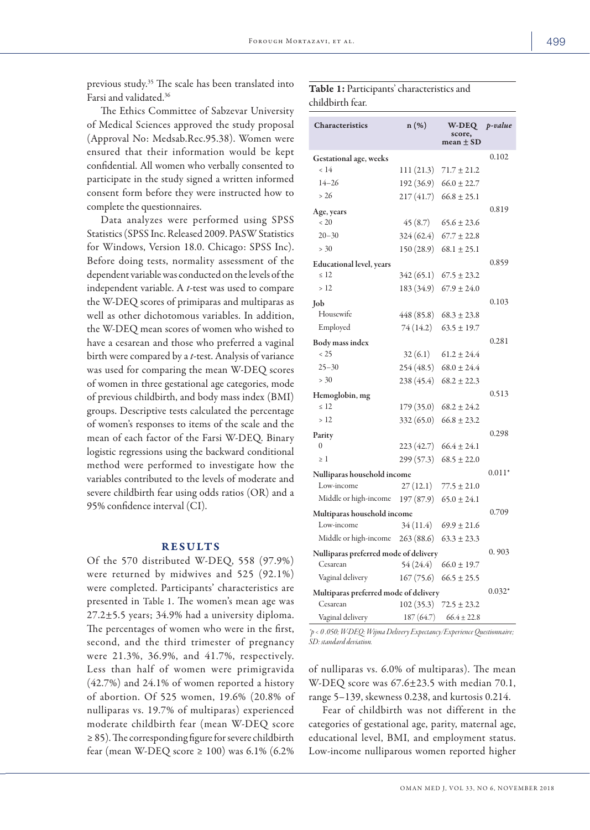previous study.35 The scale has been translated into Farsi and validated.36

The Ethics Committee of Sabzevar University of Medical Sciences approved the study proposal (Approval No: Medsab.Rec.95.38). Women were ensured that their information would be kept confidential. All women who verbally consented to participate in the study signed a written informed consent form before they were instructed how to complete the questionnaires.

Data analyzes were performed using SPSS Statistics (SPSS Inc. Released 2009. PASW Statistics for Windows, Version 18.0. Chicago: SPSS Inc). Before doing tests, normality assessment of the dependent variable was conducted on the levels of the independent variable. A *t*-test was used to compare the W-DEQ scores of primiparas and multiparas as well as other dichotomous variables. In addition, the W-DEQ mean scores of women who wished to have a cesarean and those who preferred a vaginal birth were compared by a *t*-test. Analysis of variance was used for comparing the mean W-DEQ scores of women in three gestational age categories, mode of previous childbirth, and body mass index (BMI) groups. Descriptive tests calculated the percentage of women's responses to items of the scale and the mean of each factor of the Farsi W-DEQ. Binary logistic regressions using the backward conditional method were performed to investigate how the variables contributed to the levels of moderate and severe childbirth fear using odds ratios (OR) and a 95% confidence interval (CI).

#### RESULTS

Of the 570 distributed W-DEQ, 558 (97.9%) were returned by midwives and 525 (92.1%) were completed. Participants' characteristics are presented in Table 1. The women's mean age was 27.2±5.5 years; 34.9% had a university diploma. The percentages of women who were in the first, second, and the third trimester of pregnancy were 21.3%, 36.9%, and 41.7%, respectively. Less than half of women were primigravida (42.7%) and 24.1% of women reported a history of abortion. Of 525 women, 19.6% (20.8% of nulliparas vs. 19.7% of multiparas) experienced moderate childbirth fear (mean W-DEQ score ≥ 85). The corresponding figure for severe childbirth fear (mean W-DEQ score  $\geq 100$ ) was 6.1% (6.2%)

# Table 1: Participants' characteristics and childbirth fear.

| Characteristics                       | n (%)      | <b>W-DEQ</b><br>score,<br>mean $\pm$ SD | p-value  |  |  |
|---------------------------------------|------------|-----------------------------------------|----------|--|--|
| <b>Gestational age, weeks</b>         |            |                                         | 0.102    |  |  |
| < 14                                  | 111(21.3)  | $71.7 \pm 21.2$                         |          |  |  |
| $14 - 26$                             |            | 192 (36.9) $66.0 \pm 22.7$              |          |  |  |
| > 26                                  |            | $217(41.7)$ 66.8 ± 25.1                 |          |  |  |
| Age, years                            |            |                                         | 0.819    |  |  |
| < 20                                  | 45 (8.7)   | $65.6 \pm 23.6$                         |          |  |  |
| $20 - 30$                             |            | $324(62.4)$ $67.7 \pm 22.8$             |          |  |  |
| > 30                                  |            | $150(28.9)$ 68.1 ± 25.1                 |          |  |  |
| <b>Educational level, years</b>       |            |                                         | 0.859    |  |  |
| $\leq 12$                             |            | $342(65.1)$ $67.5 \pm 23.2$             |          |  |  |
| >12                                   |            | $183(34.9)$ $67.9 \pm 24.0$             |          |  |  |
| Job                                   |            |                                         | 0.103    |  |  |
| Housewife                             | 448 (85.8) | $68.3 \pm 23.8$                         |          |  |  |
| Employed                              | 74 (14.2)  | $63.5 \pm 19.7$                         |          |  |  |
| Body mass index                       |            |                                         | 0.281    |  |  |
| < 25                                  |            | $32(6.1)$ $61.2 \pm 24.4$               |          |  |  |
| $25 - 30$                             |            | $254(48.5)$ 68.0 ± 24.4                 |          |  |  |
| > 30                                  | 238 (45.4) | $68.2 \pm 22.3$                         |          |  |  |
| Hemoglobin, mg                        |            |                                         | 0.513    |  |  |
| $\leq 12$                             | 179(35.0)  | $68.2 \pm 24.2$                         |          |  |  |
| >12                                   | 332(65.0)  | $66.8 \pm 23.2$                         |          |  |  |
| Parity                                |            |                                         | 0.298    |  |  |
| $\theta$                              |            | $223(42.7)$ 66.4 ± 24.1                 |          |  |  |
| $\geq 1$                              | 299 (57.3) | $68.5 \pm 22.0$                         |          |  |  |
| Nulliparas household income           |            |                                         | $0.011*$ |  |  |
| Low-income                            | 27(12.1)   | $77.5 \pm 21.0$                         |          |  |  |
| Middle or high-income                 | 197 (87.9) | $65.0 \pm 24.1$                         |          |  |  |
| Multiparas household income           |            |                                         | 0.709    |  |  |
| Low-income                            | 34 (11.4)  | $69.9 \pm 21.6$                         |          |  |  |
| Middle or high-income                 | 263(88.6)  | $63.3 \pm 23.3$                         |          |  |  |
| Nulliparas preferred mode of delivery |            |                                         |          |  |  |
| Cesarean                              | 54 (24.4)  | $66.0 \pm 19.7$                         |          |  |  |
| Vaginal delivery                      | 167(75.6)  | $66.5 \pm 25.5$                         |          |  |  |
| Multiparas preferred mode of delivery |            |                                         |          |  |  |
| Cesarean                              | 102(35.3)  | $72.5 \pm 23.2$                         |          |  |  |
| Vaginal delivery                      | 187(64.7)  | $66.4 \pm 22.8$                         |          |  |  |

*\*p < 0 .050; W-DEQ: Wijma Delivery Expectancy/Experience Questionnaire; SD: standard deviation.*

of nulliparas vs. 6.0% of multiparas). The mean W-DEQ score was 67.6±23.5 with median 70.1, range 5–139, skewness 0.238, and kurtosis 0.214.

Fear of childbirth was not different in the categories of gestational age, parity, maternal age, educational level, BMI, and employment status. Low-income nulliparous women reported higher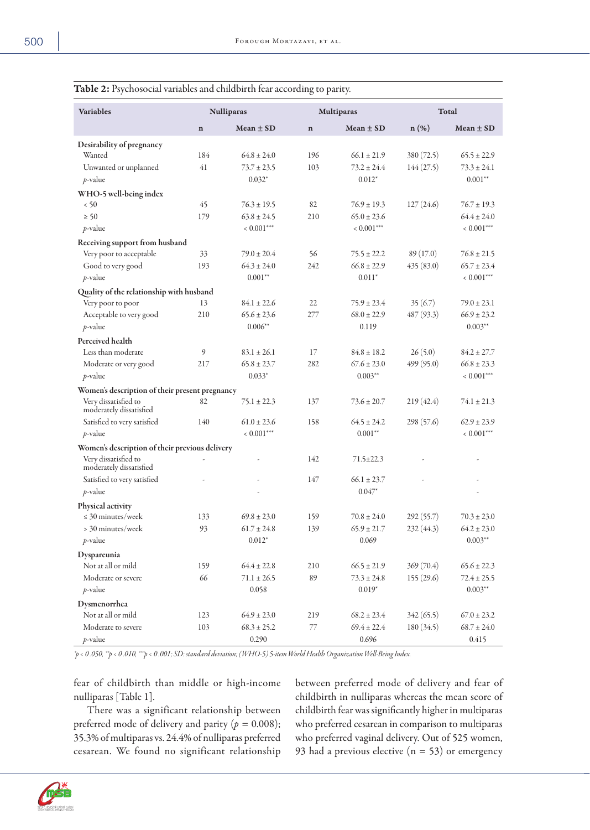| <b>Variables</b>                                | <b>Nulliparas</b> |                 |             | Multiparas      | <b>Total</b> |                 |  |
|-------------------------------------------------|-------------------|-----------------|-------------|-----------------|--------------|-----------------|--|
|                                                 | $\bf n$           | Mean $\pm$ SD   | $\mathbf n$ | $Mean \pm SD$   | $n(\%)$      | Mean $\pm$ SD   |  |
| Desirability of pregnancy                       |                   |                 |             |                 |              |                 |  |
| Wanted                                          | 184               | $64.8 \pm 24.0$ | 196         | $66.1 \pm 21.9$ | 380 (72.5)   | $65.5 \pm 22.9$ |  |
| Unwanted or unplanned                           | 41                | $73.7 \pm 23.5$ | 103         | $73.2 \pm 24.4$ | 144(27.5)    | $73.3 \pm 24.1$ |  |
| $p$ -value                                      |                   | $0.032*$        |             | $0.012*$        |              | $0.001**$       |  |
| WHO-5 well-being index                          |                   |                 |             |                 |              |                 |  |
| < 50                                            | 45                | $76.3 \pm 19.5$ | 82          | $76.9 \pm 19.3$ | 127(24.6)    | $76.7 \pm 19.3$ |  |
| $\geq 50$                                       | 179               | $63.8 \pm 24.5$ | 210         | $65.0 \pm 23.6$ |              | $64.4 \pm 24.0$ |  |
| $p$ -value                                      |                   | $< 0.001***$    |             | $< 0.001***$    |              | $< 0.001***$    |  |
| Receiving support from husband                  |                   |                 |             |                 |              |                 |  |
| Very poor to acceptable                         | 33                | $79.0 \pm 20.4$ | 56          | $75.5 \pm 22.2$ | 89 (17.0)    | $76.8 \pm 21.5$ |  |
| Good to very good                               | 193               | $64.3 \pm 24.0$ | 242         | $66.8 \pm 22.9$ | 435(83.0)    | $65.7 \pm 23.4$ |  |
| $p$ -value                                      |                   | $0.001**$       |             | $0.011*$        |              | $< 0.001***$    |  |
| Quality of the relationship with husband        |                   |                 |             |                 |              |                 |  |
| Very poor to poor                               | 13                | $84.1 \pm 22.6$ | 22          | $75.9 \pm 23.4$ | 35(6.7)      | $79.0 \pm 23.1$ |  |
| Acceptable to very good                         | 210               | $65.6 \pm 23.6$ | 277         | $68.0 \pm 22.9$ | 487(93.3)    | $66.9 \pm 23.2$ |  |
| $p$ -value                                      |                   | $0.006**$       |             | 0.119           |              | $0.003**$       |  |
| Perceived health                                |                   |                 |             |                 |              |                 |  |
| Less than moderate                              | 9                 | $83.1 \pm 26.1$ | 17          | $84.8 \pm 18.2$ | 26(5.0)      | $84.2 \pm 27.7$ |  |
| Moderate or very good                           | 217               | $65.8 \pm 23.7$ | 282         | $67.6 \pm 23.0$ | 499(95.0)    | $66.8 \pm 23.3$ |  |
| $p$ -value                                      |                   | $0.033*$        |             | $0.003**$       |              | $< 0.001***$    |  |
| Women's description of their present pregnancy  |                   |                 |             |                 |              |                 |  |
| Very dissatisfied to<br>moderately dissatisfied | 82                | $75.1 \pm 22.3$ | 137         | $73.6 \pm 20.7$ | 219(42.4)    | $74.1 \pm 21.3$ |  |
| Satisfied to very satisfied                     | 140               | $61.0 \pm 23.6$ | 158         | $64.5 \pm 24.2$ | 298(57.6)    | $62.9 \pm 23.9$ |  |
| $p$ -value                                      |                   | $< 0.001***$    |             | $0.001**$       |              | $< 0.001***$    |  |
| Women's description of their previous delivery  |                   |                 |             |                 |              |                 |  |
| Very dissatisfied to<br>moderately dissatisfied |                   |                 | 142         | $71.5 \pm 22.3$ |              |                 |  |
| Satisfied to very satisfied                     |                   |                 | 147         | $66.1 \pm 23.7$ |              |                 |  |
| $p$ -value                                      |                   |                 |             | $0.047*$        |              |                 |  |
| Physical activity                               |                   |                 |             |                 |              |                 |  |
| $\leq 30$ minutes/week                          | 133               | $69.8 \pm 23.0$ | 159         | $70.8 \pm 24.0$ | 292(55.7)    | $70.3 \pm 23.0$ |  |
| > 30 minutes/week                               | 93                | $61.7 \pm 24.8$ | 139         | $65.9 \pm 21.7$ | 232(44.3)    | $64.2 \pm 23.0$ |  |
| $p$ -value                                      |                   | $0.012*$        |             | 0.069           |              | $0.003**$       |  |
| Dyspareunia                                     |                   |                 |             |                 |              |                 |  |
| Not at all or mild                              | 159               | $64.4 \pm 22.8$ | 210         | $66.5 \pm 21.9$ | 369 (70.4)   | $65.6 \pm 22.3$ |  |
| Moderate or severe                              | 66                | $71.1 \pm 26.5$ | 89          | $73.3 \pm 24.8$ | 155(29.6)    | $72.4 \pm 25.5$ |  |
| $p$ -value                                      |                   | 0.058           |             | $0.019*$        |              | $0.003**$       |  |
| Dysmenorrhea                                    |                   |                 |             |                 |              |                 |  |
| Not at all or mild                              | 123               | $64.9 \pm 23.0$ | 219         | $68.2 \pm 23.4$ | 342(65.5)    | $67.0 \pm 23.2$ |  |
| Moderate to severe                              | 103               | $68.3 \pm 25.2$ | $77\,$      | $69.4 \pm 22.4$ | 180(34.5)    | $68.7 \pm 24.0$ |  |
| $p$ -value                                      |                   | 0.290           |             | 0.696           |              | 0.415           |  |

# Table 2: Psychosocial variables and childbirth fear according to parity.

*\*p < 0 .050, \*\*p < 0 .010, \*\*\*p < 0 .001; SD: standard deviation; (WHO-5) 5-item World Health Organization Well-Being Index.*

fear of childbirth than middle or high-income nulliparas [Table 1].

There was a significant relationship between preferred mode of delivery and parity  $(p = 0.008)$ ; 35.3% of multiparas vs. 24.4% of nulliparas preferred cesarean. We found no significant relationship between preferred mode of delivery and fear of childbirth in nulliparas whereas the mean score of childbirth fear was significantly higher in multiparas who preferred cesarean in comparison to multiparas who preferred vaginal delivery. Out of 525 women, 93 had a previous elective  $(n = 53)$  or emergency

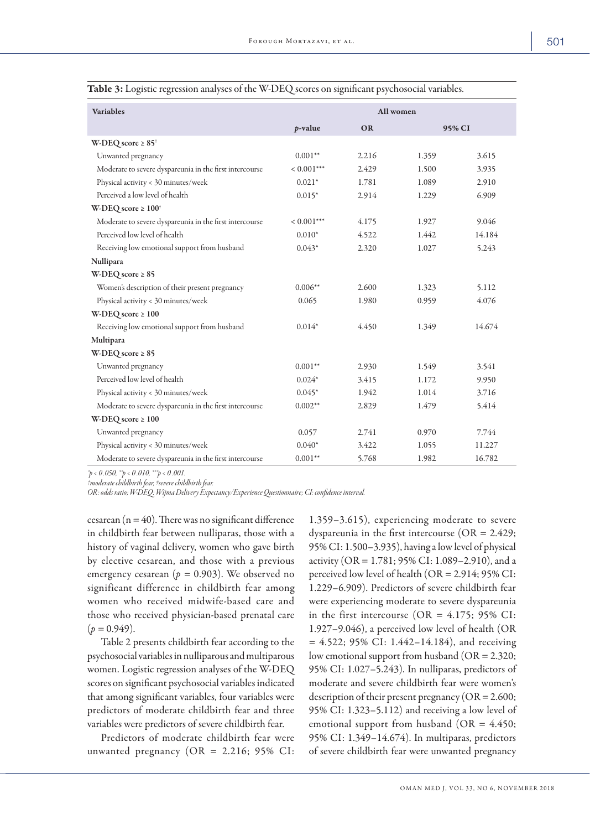| <b>Variables</b>                                        | All women    |           |       |        |
|---------------------------------------------------------|--------------|-----------|-------|--------|
|                                                         | p-value      | <b>OR</b> |       | 95% CI |
| W-DEQ score $\geq 85^{\dagger}$                         |              |           |       |        |
| Unwanted pregnancy                                      | $0.001**$    | 2.216     | 1.359 | 3.615  |
| Moderate to severe dyspareunia in the first intercourse | $< 0.001***$ | 2.429     | 1.500 | 3.935  |
| Physical activity < 30 minutes/week                     | $0.021*$     | 1.781     | 1.089 | 2.910  |
| Perceived a low level of health                         | $0.015*$     | 2.914     | 1.229 | 6.909  |
| W-DEQ score $\geq 100^{\circ}$                          |              |           |       |        |
| Moderate to severe dyspareunia in the first intercourse | $< 0.001***$ | 4.175     | 1.927 | 9.046  |
| Perceived low level of health                           | $0.010*$     | 4.522     | 1.442 | 14.184 |
| Receiving low emotional support from husband            | $0.043*$     | 2.320     | 1.027 | 5.243  |
| Nullipara                                               |              |           |       |        |
| W-DEQ score $\geq 85$                                   |              |           |       |        |
| Women's description of their present pregnancy          | $0.006**$    | 2.600     | 1.323 | 5.112  |
| Physical activity < 30 minutes/week                     | 0.065        | 1.980     | 0.959 | 4.076  |
| W-DEQ score $\geq 100$                                  |              |           |       |        |
| Receiving low emotional support from husband            | $0.014*$     | 4.450     | 1.349 | 14.674 |
| Multipara                                               |              |           |       |        |
| W-DEQ score $\geq 85$                                   |              |           |       |        |
| Unwanted pregnancy                                      | $0.001**$    | 2.930     | 1.549 | 3.541  |
| Perceived low level of health                           | $0.024*$     | 3.415     | 1.172 | 9.950  |
| Physical activity < 30 minutes/week                     | $0.045*$     | 1.942     | 1.014 | 3.716  |
| Moderate to severe dyspareunia in the first intercourse | $0.002**$    | 2.829     | 1.479 | 5.414  |
| W-DEQ score $\geq 100$                                  |              |           |       |        |
| Unwanted pregnancy                                      | 0.057        | 2.741     | 0.970 | 7.744  |
| Physical activity < 30 minutes/week                     | $0.040*$     | 3.422     | 1.055 | 11.227 |
| Moderate to severe dyspareunia in the first intercourse | $0.001**$    | 5.768     | 1.982 | 16.782 |

| Table 3: Logistic regression analyses of the W-DEQ scores on significant psychosocial variables. |  |
|--------------------------------------------------------------------------------------------------|--|
|--------------------------------------------------------------------------------------------------|--|

*\*p < 0 .050, \*\*p < 0 .010, \*\*\*p < 0 .001.*

*†moderate childbirth fear, ‡severe childbirth fear.*

*OR: odds ratio; W-DEQ: Wijma Delivery Expectancy/Experience Questionnaire; CI: confidence interval.*

cesarean  $(n = 40)$ . There was no significant difference in childbirth fear between nulliparas, those with a history of vaginal delivery, women who gave birth by elective cesarean, and those with a previous emergency cesarean (*p =* 0.903). We observed no significant difference in childbirth fear among women who received midwife-based care and those who received physician-based prenatal care  $(p = 0.949)$ .

Table 2 presents childbirth fear according to the psychosocial variables in nulliparous and multiparous women. Logistic regression analyses of the W-DEQ scores on significant psychosocial variables indicated that among significant variables, four variables were predictors of moderate childbirth fear and three variables were predictors of severe childbirth fear.

Predictors of moderate childbirth fear were unwanted pregnancy  $(OR = 2.216; 95\% \text{ CI}:$  1.359–3.615), experiencing moderate to severe dyspareunia in the first intercourse ( $OR = 2.429$ ; 95% CI: 1.500–3.935), having a low level of physical activity (OR = 1.781; 95% CI: 1.089–2.910), and a perceived low level of health ( $OR = 2.914$ ; 95% CI: 1.229–6.909). Predictors of severe childbirth fear were experiencing moderate to severe dyspareunia in the first intercourse (OR =  $4.175$ ; 95% CI: 1.927–9.046), a perceived low level of health (OR  $= 4.522$ ; 95% CI: 1.442–14.184), and receiving low emotional support from husband (OR = 2.320; 95% CI: 1.027–5.243). In nulliparas, predictors of moderate and severe childbirth fear were women's description of their present pregnancy ( $OR = 2.600$ ; 95% CI: 1.323–5.112) and receiving a low level of emotional support from husband ( $OR = 4.450$ ; 95% CI: 1.349–14.674). In multiparas, predictors of severe childbirth fear were unwanted pregnancy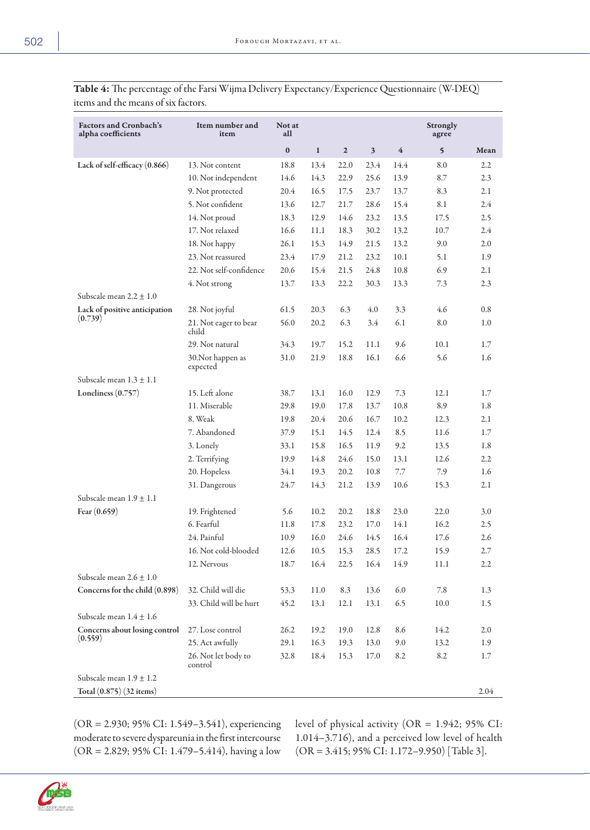| <b>Factors and Cronbach's</b><br>alpha coefficients | Item number and<br>item        | Not at<br>all |              |             |              |                | <b>Strongly</b><br>agree |      |
|-----------------------------------------------------|--------------------------------|---------------|--------------|-------------|--------------|----------------|--------------------------|------|
|                                                     |                                | $\pmb{0}$     | $\mathbf{1}$ | $\mathbf 2$ | $\mathbf{3}$ | $\overline{4}$ | 5                        | Mean |
| Lack of self-efficacy (0.866)                       | 13. Not content                | 18.8          | 13.4         | 22.0        | 23.4         | 14.4           | 8.0                      | 2.2  |
|                                                     | 10. Not independent            | 14.6          | 14.3         | 22.9        | 25.6         | 13.9           | 8.7                      | 2.3  |
|                                                     | 9. Not protected               | 20.4          | 16.5         | 17.5        | 23.7         | 13.7           | 8.3                      | 2.1  |
|                                                     | 5. Not confident               | 13.6          | 12.7         | 21.7        | 28.6         | 15.4           | 8.1                      | 2.4  |
|                                                     | 14. Not proud                  | 18.3          | 12.9         | 14.6        | 23.2         | 13.5           | 17.5                     | 2.5  |
|                                                     | 17. Not relaxed                | 16.6          | 11.1         | 18.3        | 30.2         | 13.2           | 10.7                     | 2.4  |
|                                                     | 18. Not happy                  | 26.1          | 15.3         | 14.9        | 21.5         | 13.2           | 9.0                      | 2.0  |
|                                                     | 23. Not reassured              | 23.4          | 17.9         | 21.2        | 23.2         | 10.1           | 5.1                      | 1.9  |
|                                                     | 22. Not self-confidence        | 20.6          | 15.4         | 21.5        | 24.8         | 10.8           | 6.9                      | 2.1  |
|                                                     | 4. Not strong                  | 13.7          | 13.3         | 22.2        | 30.3         | 13.3           | 7.3                      | 2.3  |
| Subscale mean $2.2 \pm 1.0$                         |                                |               |              |             |              |                |                          |      |
| Lack of positive anticipation                       | 28. Not joyful                 | 61.5          | 20.3         | 6.3         | 4.0          | 3.3            | 4.6                      | 0.8  |
| (0.739)                                             | 21. Not eager to bear<br>child | 56.0          | 20.2         | 6.3         | 3.4          | 6.1            | 8.0                      | 1.0  |
|                                                     | 29. Not natural                | 34.3          | 19.7         | 15.2        | 11.1         | 9.6            | 10.1                     | 1.7  |
|                                                     | 30. Not happen as<br>expected  | 31.0          | 21.9         | 18.8        | 16.1         | 6.6            | 5.6                      | 1.6  |
| Subscale mean $1.3 \pm 1.1$                         |                                |               |              |             |              |                |                          |      |
| Loneliness $(0.757)$                                | 15. Left alone                 | 38.7          | 13.1         | 16.0        | 12.9         | 7.3            | 12.1                     | 1.7  |
|                                                     | 11. Miserable                  | 29.8          | 19.0         | 17.8        | 13.7         | 10.8           | 8.9                      | 1.8  |
|                                                     | 8. Weak                        | 19.8          | 20.4         | 20.6        | 16.7         | 10.2           | 12.3                     | 2.1  |
|                                                     | 7. Abandoned                   | 37.9          | 15.1         | 14.5        | 12.4         | 8.5            | 11.6                     | 1.7  |
|                                                     | 3. Lonely                      | 33.1          | 15.8         | 16.5        | 11.9         | 9.2            | 13.5                     | 1.8  |
|                                                     | 2. Terrifying                  | 19.9          | 14.8         | 24.6        | 15.0         | 13.1           | 12.6                     | 2.2  |
|                                                     | 20. Hopeless                   | 34.1          | 19.3         | 20.2        | 10.8         | 7.7            | 7.9                      | 1.6  |
|                                                     | 31. Dangerous                  | 24.7          | 14.3         | 21.2        | 13.9         | 10.6           | 15.3                     | 2.1  |
| Subscale mean $1.9 \pm 1.1$                         |                                |               |              |             |              |                |                          |      |
| Fear $(0.659)$                                      | 19. Frightened                 | 5.6           | 10.2         | 20.2        | 18.8         | 23.0           | 22.0                     | 3.0  |
|                                                     | 6. Fearful                     | 11.8          | 17.8         | 23.2        | 17.0         | 14.1           | 16.2                     | 2.5  |
|                                                     | 24. Painful                    | 10.9          | 16.0         | 24.6        | 14.5         | 16.4           | 17.6                     | 2.6  |
|                                                     | 16. Not cold-blooded           | 12.6          | $10.5\,$     | 15.3        | 28.5         | 17.2           | 15.9                     | 2.7  |
|                                                     | 12. Nervous                    | 18.7          | 16.4         | 22.5        | 16.4         | 14.9           | 11.1                     | 2.2  |
| Subscale mean $2.6 \pm 1.0$                         |                                |               |              |             |              |                |                          |      |
| Concerns for the child (0.898)                      | 32. Child will die             | 53.3          | 11.0         | 8.3         | 13.6         | 6.0            | 7.8                      | 1.3  |
|                                                     | 33. Child will be hurt         | 45.2          | 13.1         | 12.1        | 13.1         | 6.5            | 10.0                     | 1.5  |
| Subscale mean $1.4 \pm 1.6$                         |                                |               |              |             |              |                |                          |      |
| Concerns about losing control                       | 27. Lose control               | 26.2          | 19.2         | 19.0        | 12.8         | 8.6            | 14.2                     | 2.0  |
| (0.559)                                             | 25. Act awfully                | 29.1          | 16.3         | 19.3        | 13.0         | 9.0            | 13.2                     | 1.9  |
|                                                     | 26. Not let body to<br>control | 32.8          | 18.4         | 15.3        | 17.0         | 8.2            | 8.2                      | 1.7  |
| Subscale mean $1.9 \pm 1.2$                         |                                |               |              |             |              |                |                          |      |
| Total (0.875) (32 items)                            |                                |               |              |             |              |                |                          | 2.04 |

Table 4: The percentage of the Farsi Wijma Delivery Expectancy/Experience Questionnaire (W-DEQ) items and the means of six factors.

(OR = 2.930; 95% CI: 1.549–3.541), experiencing moderate to severe dyspareunia in the first intercourse (OR = 2.829; 95% CI: 1.479–5.414), having a low

level of physical activity (OR = 1.942; 95% CI: 1.014–3.716), and a perceived low level of health (OR = 3.415; 95% CI: 1.172–9.950) [Table 3].

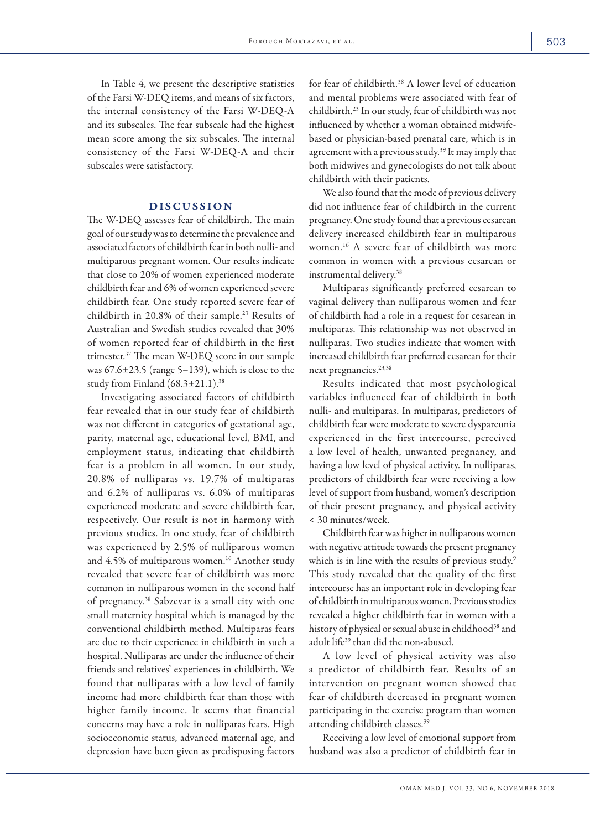In Table 4, we present the descriptive statistics of the Farsi W-DEQ items, and means of six factors, the internal consistency of the Farsi W-DEQ-A and its subscales. The fear subscale had the highest mean score among the six subscales. The internal consistency of the Farsi W-DEQ-A and their subscales were satisfactory.

## DISCUSSION

The W-DEQ assesses fear of childbirth. The main goal of our study was to determine the prevalence and associated factors of childbirth fear in both nulli- and multiparous pregnant women. Our results indicate that close to 20% of women experienced moderate childbirth fear and 6% of women experienced severe childbirth fear. One study reported severe fear of childbirth in 20.8% of their sample.<sup>23</sup> Results of Australian and Swedish studies revealed that 30% of women reported fear of childbirth in the first trimester.37 The mean W-DEQ score in our sample was  $67.6\pm23.5$  (range  $5-139$ ), which is close to the study from Finland  $(68.3 \pm 21.1).^{38}$ 

Investigating associated factors of childbirth fear revealed that in our study fear of childbirth was not different in categories of gestational age, parity, maternal age, educational level, BMI, and employment status, indicating that childbirth fear is a problem in all women. In our study, 20.8% of nulliparas vs. 19.7% of multiparas and 6.2% of nulliparas vs. 6.0% of multiparas experienced moderate and severe childbirth fear, respectively. Our result is not in harmony with previous studies. In one study, fear of childbirth was experienced by 2.5% of nulliparous women and 4.5% of multiparous women.<sup>16</sup> Another study revealed that severe fear of childbirth was more common in nulliparous women in the second half of pregnancy.38 Sabzevar is a small city with one small maternity hospital which is managed by the conventional childbirth method. Multiparas fears are due to their experience in childbirth in such a hospital. Nulliparas are under the influence of their friends and relatives' experiences in childbirth. We found that nulliparas with a low level of family income had more childbirth fear than those with higher family income. It seems that financial concerns may have a role in nulliparas fears. High socioeconomic status, advanced maternal age, and depression have been given as predisposing factors

for fear of childbirth.<sup>38</sup> A lower level of education and mental problems were associated with fear of childbirth.23 In our study, fear of childbirth was not influenced by whether a woman obtained midwifebased or physician-based prenatal care, which is in agreement with a previous study.39 It may imply that both midwives and gynecologists do not talk about childbirth with their patients.

We also found that the mode of previous delivery did not influence fear of childbirth in the current pregnancy. One study found that a previous cesarean delivery increased childbirth fear in multiparous women.16 A severe fear of childbirth was more common in women with a previous cesarean or instrumental delivery.38

Multiparas significantly preferred cesarean to vaginal delivery than nulliparous women and fear of childbirth had a role in a request for cesarean in multiparas. This relationship was not observed in nulliparas. Two studies indicate that women with increased childbirth fear preferred cesarean for their next pregnancies.<sup>23,38</sup>

Results indicated that most psychological variables influenced fear of childbirth in both nulli- and multiparas. In multiparas, predictors of childbirth fear were moderate to severe dyspareunia experienced in the first intercourse, perceived a low level of health, unwanted pregnancy, and having a low level of physical activity. In nulliparas, predictors of childbirth fear were receiving a low level of support from husband, women's description of their present pregnancy, and physical activity < 30 minutes/week.

Childbirth fear was higher in nulliparous women with negative attitude towards the present pregnancy which is in line with the results of previous study.<sup>9</sup> This study revealed that the quality of the first intercourse has an important role in developing fear of childbirth in multiparous women. Previous studies revealed a higher childbirth fear in women with a history of physical or sexual abuse in childhood<sup>38</sup> and adult life39 than did the non-abused.

A low level of physical activity was also a predictor of childbirth fear. Results of an intervention on pregnant women showed that fear of childbirth decreased in pregnant women participating in the exercise program than women attending childbirth classes.39

Receiving a low level of emotional support from husband was also a predictor of childbirth fear in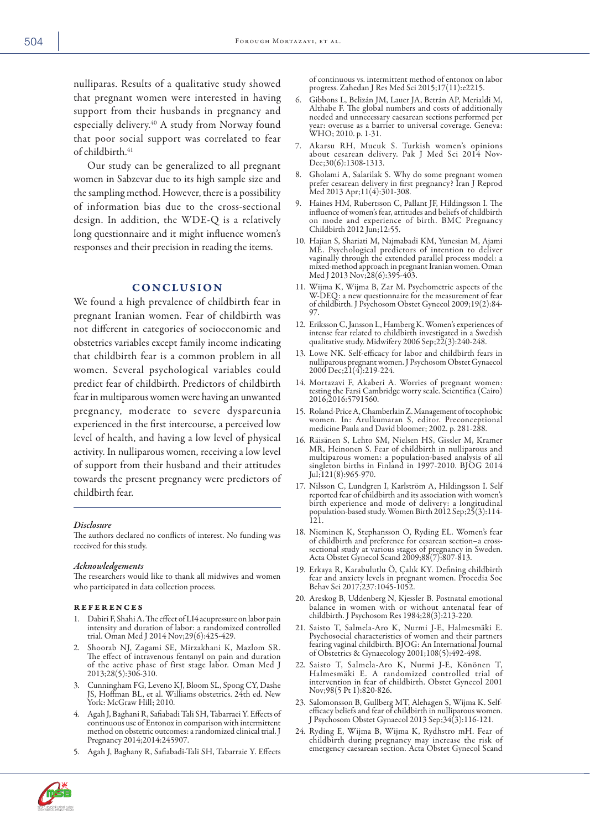nulliparas. Results of a qualitative study showed that pregnant women were interested in having support from their husbands in pregnancy and especially delivery.<sup>40</sup> A study from Norway found that poor social support was correlated to fear of childbirth.<sup>41</sup>

Our study can be generalized to all pregnant women in Sabzevar due to its high sample size and the sampling method. However, there is a possibility of information bias due to the cross-sectional design. In addition, the WDE-Q is a relatively long questionnaire and it might influence women's responses and their precision in reading the items.

## CONCLUSION

We found a high prevalence of childbirth fear in pregnant Iranian women. Fear of childbirth was not different in categories of socioeconomic and obstetrics variables except family income indicating that childbirth fear is a common problem in all women. Several psychological variables could predict fear of childbirth. Predictors of childbirth fear in multiparous women were having an unwanted pregnancy, moderate to severe dyspareunia experienced in the first intercourse, a perceived low level of health, and having a low level of physical activity. In nulliparous women, receiving a low level of support from their husband and their attitudes towards the present pregnancy were predictors of childbirth fear.

#### *Disclosure*

The authors declared no conflicts of interest. No funding was received for this study.

#### *Acknowledgements*

The researchers would like to thank all midwives and women who participated in data collection process.

#### references

- 1. Dabiri F, Shahi A. The effect of LI4 acupressure on labor pain intensity and duration of labor: a randomized controlled trial. Oman Med J 2014 Nov;29(6):425-429.
- 2. Shoorab NJ, Zagami SE, Mirzakhani K, Mazlom SR. The effect of intravenous fentanyl on pain and duration of the active phase of first stage labor. Oman Med J 2013;28(5):306-310.
- 3. Cunningham FG, Leveno KJ, Bloom SL, Spong CY, Dashe JS, Hoffman BL, et al. Williams obstetrics. 24th ed. New York: McGraw Hill; 2010.
- 4. Agah J, Baghani R, Safiabadi Tali SH, Tabarraei Y. Effects of continuous use of Entonox in comparison with intermittent method on obstetric outcomes: a randomized clinical trial. J Pregnancy 2014;2014:245907.
- 5. Agah J, Baghany R, Safiabadi-Tali SH, Tabarraie Y. Effects

of continuous vs. intermittent method of entonox on labor progress. Zahedan J Res Med Sci 2015;17(11):e2215.

- 6. Gibbons L, Belizán JM, Lauer JA, Betrán AP, Merialdi M, Althabe F. The global numbers and costs of additionally needed and unnecessary caesarean sections performed per year: overuse as a barrier to universal coverage. Geneva: WHO; 2010. p. 1-31.
- 7. Akarsu RH, Mucuk S. Turkish women's opinions about cesarean delivery. Pak J Med Sci 2014 Nov-Dec;30(6):1308-1313.
- 8. Gholami A, Salarilak S. Why do some pregnant women prefer cesarean delivery in first pregnancy? Iran J Reprod Med 2013 Apr;11(4):301-308.
- 9. Haines HM, Rubertsson C, Pallant JF, Hildingsson I. The influence of women's fear, attitudes and beliefs of childbirth on mode and experience of birth. BMC Pregnancy Childbirth 2012 Jun;12:55.
- 10. Hajian S, Shariati M, Najmabadi KM, Yunesian M, Ajami ME. Psychological predictors of intention to deliver vaginally through the extended parallel process model: a mixed-method approach in pregnant Iranian women. Oman Med J 2013 Nov;28(6):395-403.
- 11. Wijma K, Wijma B, Zar M. Psychometric aspects of the W-DEQ: a new questionnaire for the measurement of fear of childbirth. J Psychosom Obstet Gynecol 2009;19(2):84- 97.
- 12. Eriksson C, Jansson L, Hamberg K. Women's experiences of intense fear related to childbirth investigated in a Swedish qualitative study. Midwifery 2006 Sep;22(3):240-248.
- 13. Lowe NK. Self-efficacy for labor and childbirth fears in nulliparous pregnant women. J Psychosom Obstet Gynaecol 2000 Dec;21(4):219-224.
- 14. Mortazavi F, Akaberi A. Worries of pregnant women: testing the Farsi Cambridge worry scale. Scientifica (Cairo) 2016;2016:5791560.
- 15. Roland-Price A, Chamberlain Z. Management of tocophobic women. In: Arulkumaran S, editor. Preconceptional medicine Paula and David bloomer; 2002. p. 281-288.
- 16. Räisänen S, Lehto SM, Nielsen HS, Gissler M, Kramer MR, Heinonen S. Fear of childbirth in nulliparous and multiparous women: a population-based analysis of all singleton births in Finland in 1997-2010. BJOG 2014 Jul;121(8):965-970.
- 17. Nilsson C, Lundgren I, Karlström A, Hildingsson I. Self reported fear of childbirth and its association with women's birth experience and mode of delivery: a longitudinal population-based study. Women Birth 2012 Sep;25(3):114- 121.
- 18. Nieminen K, Stephansson O, Ryding EL. Women's fear of childbirth and preference for cesarean section–a crosssectional study at various stages of pregnancy in Sweden. Acta Obstet Gynecol Scand 2009;88(7):807-813.
- 19. Erkaya R, Karabulutlu Ö, Çalık KY. Defining childbirth fear and anxiety levels in pregnant women. Procedia Soc Behav Sci 2017;237:1045-1052.
- 20. Areskog B, Uddenberg N, Kjessler B. Postnatal emotional balance in women with or without antenatal fear of childbirth. J Psychosom Res 1984;28(3):213-220.
- 21. Saisto T, Salmela-Aro K, Nurmi J-E, Halmesmäki E. Psychosocial characteristics of women and their partners fearing vaginal childbirth. BJOG: An International Journal of Obstetrics & Gynaecology 2001;108(5):492-498.
- 22. Saisto T, Salmela-Aro K, Nurmi J-E, Könönen T, Halmesmäki E. A randomized controlled trial of intervention in fear of childbirth. Obstet Gynecol 2001 Nov;98(5 Pt 1):820-826.
- 23. Salomonsson B, Gullberg MT, Alehagen S, Wijma K. Self- efficacy beliefs and fear of childbirth in nulliparous women. J Psychosom Obstet Gynaecol 2013 Sep;34(3):116-121.
- 24. Ryding E, Wijma B, Wijma K, Rydhstro mH. Fear of childbirth during pregnancy may increase the risk of emergency caesarean section. Acta Obstet Gynecol Scand